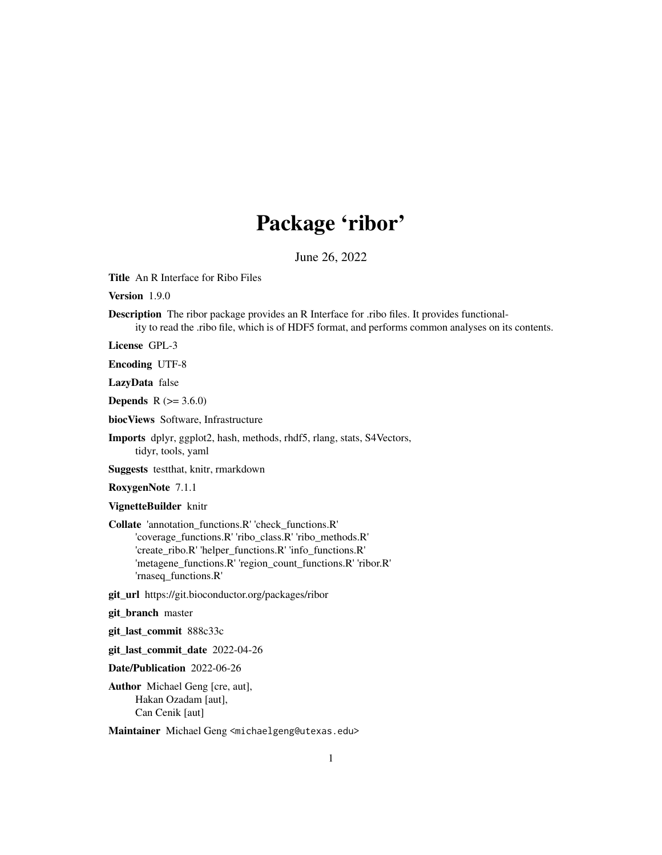# Package 'ribor'

June 26, 2022

Title An R Interface for Ribo Files

Version 1.9.0

Description The ribor package provides an R Interface for .ribo files. It provides functionality to read the .ribo file, which is of HDF5 format, and performs common analyses on its contents.

License GPL-3

Encoding UTF-8

LazyData false

**Depends** R  $(>= 3.6.0)$ 

biocViews Software, Infrastructure

Imports dplyr, ggplot2, hash, methods, rhdf5, rlang, stats, S4Vectors, tidyr, tools, yaml

Suggests testthat, knitr, rmarkdown

RoxygenNote 7.1.1

VignetteBuilder knitr

Collate 'annotation\_functions.R' 'check\_functions.R' 'coverage\_functions.R' 'ribo\_class.R' 'ribo\_methods.R' 'create\_ribo.R' 'helper\_functions.R' 'info\_functions.R' 'metagene\_functions.R' 'region\_count\_functions.R' 'ribor.R' 'rnaseq\_functions.R'

git\_url https://git.bioconductor.org/packages/ribor

git\_branch master

git\_last\_commit 888c33c

git last commit date 2022-04-26

Date/Publication 2022-06-26

Author Michael Geng [cre, aut], Hakan Ozadam [aut], Can Cenik [aut]

Maintainer Michael Geng <michaelgeng@utexas.edu>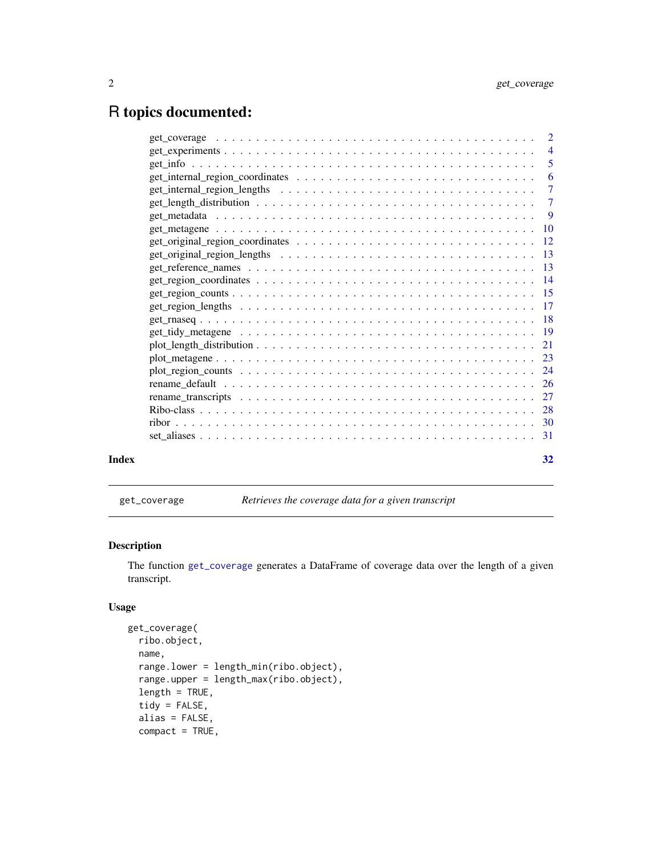# <span id="page-1-0"></span>R topics documented:

| Index | 32 |
|-------|----|

<span id="page-1-1"></span>get\_coverage *Retrieves the coverage data for a given transcript*

# Description

The function [get\\_coverage](#page-1-1) generates a DataFrame of coverage data over the length of a given transcript.

# Usage

```
get_coverage(
 ribo.object,
 name,
 range.lower = length_min(ribo.object),
 range.upper = length_max(ribo.object),
  length = TRUE,
  tidy = FALSE,
 alias = FALSE,
 compact = TRUE,
```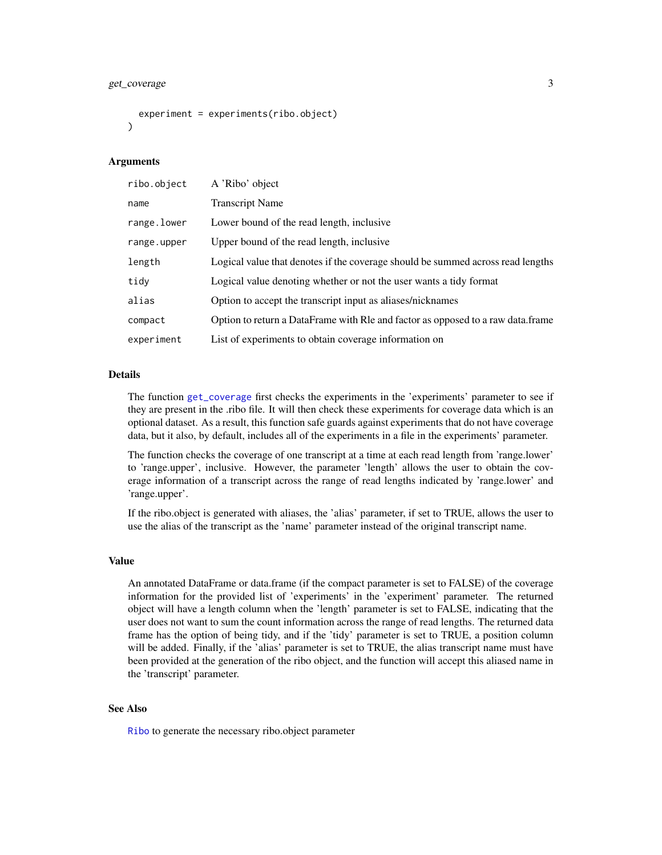# <span id="page-2-0"></span>get\_coverage 3

```
experiment = experiments(ribo.object)
\mathcal{L}
```
# Arguments

| ribo.object | A 'Ribo' object                                                                 |
|-------------|---------------------------------------------------------------------------------|
| name        | <b>Transcript Name</b>                                                          |
| range.lower | Lower bound of the read length, inclusive                                       |
| range.upper | Upper bound of the read length, inclusive                                       |
| length      | Logical value that denotes if the coverage should be summed across read lengths |
| tidy        | Logical value denoting whether or not the user wants a tidy format              |
| alias       | Option to accept the transcript input as aliases/nicknames                      |
| compact     | Option to return a DataFrame with RIe and factor as opposed to a raw data.frame |
| experiment  | List of experiments to obtain coverage information on                           |

# Details

The function [get\\_coverage](#page-1-1) first checks the experiments in the 'experiments' parameter to see if they are present in the .ribo file. It will then check these experiments for coverage data which is an optional dataset. As a result, this function safe guards against experiments that do not have coverage data, but it also, by default, includes all of the experiments in a file in the experiments' parameter.

The function checks the coverage of one transcript at a time at each read length from 'range.lower' to 'range.upper', inclusive. However, the parameter 'length' allows the user to obtain the coverage information of a transcript across the range of read lengths indicated by 'range.lower' and 'range.upper'.

If the ribo.object is generated with aliases, the 'alias' parameter, if set to TRUE, allows the user to use the alias of the transcript as the 'name' parameter instead of the original transcript name.

#### Value

An annotated DataFrame or data.frame (if the compact parameter is set to FALSE) of the coverage information for the provided list of 'experiments' in the 'experiment' parameter. The returned object will have a length column when the 'length' parameter is set to FALSE, indicating that the user does not want to sum the count information across the range of read lengths. The returned data frame has the option of being tidy, and if the 'tidy' parameter is set to TRUE, a position column will be added. Finally, if the 'alias' parameter is set to TRUE, the alias transcript name must have been provided at the generation of the ribo object, and the function will accept this aliased name in the 'transcript' parameter.

#### See Also

[Ribo](#page-27-1) to generate the necessary ribo.object parameter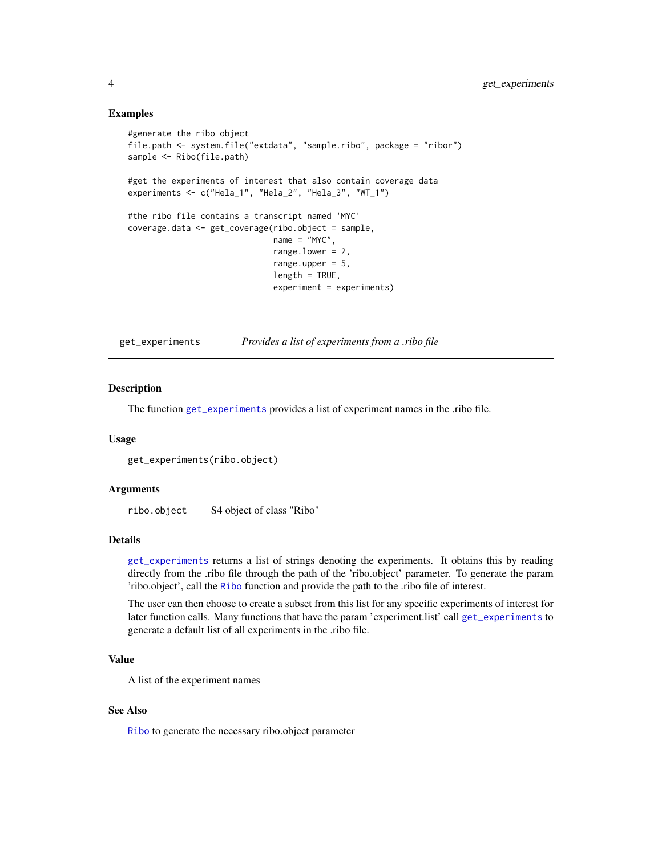# Examples

```
#generate the ribo object
file.path <- system.file("extdata", "sample.ribo", package = "ribor")
sample <- Ribo(file.path)
#get the experiments of interest that also contain coverage data
experiments <- c("Hela_1", "Hela_2", "Hela_3", "WT_1")
#the ribo file contains a transcript named 'MYC'
coverage.data <- get_coverage(ribo.object = sample,
                              name = "MYC",range.lower = 2,
                              range.upper = 5,
                              length = TRUE,experiment = experiments)
```
<span id="page-3-1"></span>get\_experiments *Provides a list of experiments from a .ribo file*

#### Description

The function [get\\_experiments](#page-3-1) provides a list of experiment names in the .ribo file.

# Usage

```
get_experiments(ribo.object)
```
### Arguments

ribo.object S4 object of class "Ribo"

# Details

[get\\_experiments](#page-3-1) returns a list of strings denoting the experiments. It obtains this by reading directly from the .ribo file through the path of the 'ribo.object' parameter. To generate the param 'ribo.object', call the [Ribo](#page-27-1) function and provide the path to the .ribo file of interest.

The user can then choose to create a subset from this list for any specific experiments of interest for later function calls. Many functions that have the param 'experiment.list' call [get\\_experiments](#page-3-1) to generate a default list of all experiments in the .ribo file.

# Value

A list of the experiment names

# See Also

[Ribo](#page-27-1) to generate the necessary ribo.object parameter

<span id="page-3-0"></span>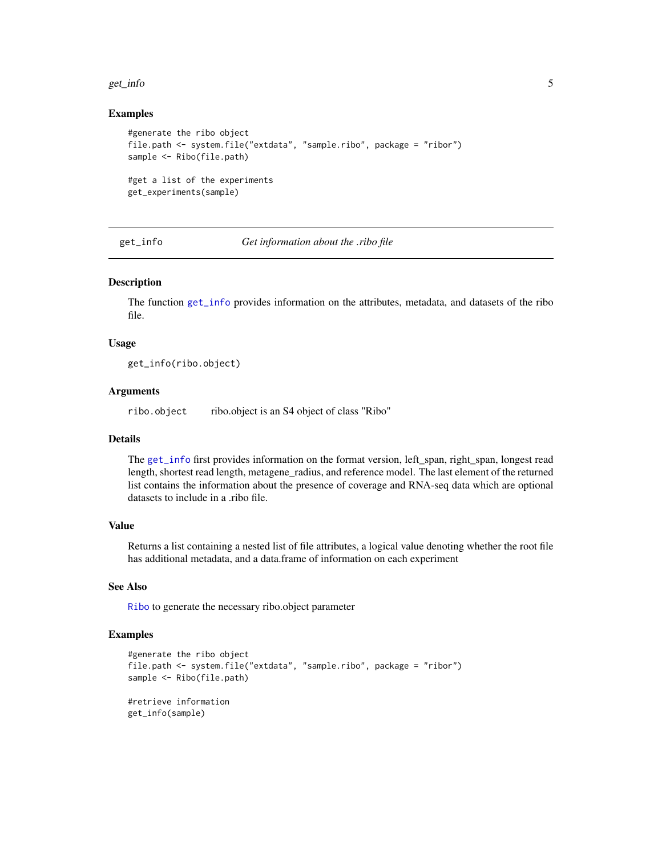#### <span id="page-4-0"></span>get\_info 5

#### Examples

```
#generate the ribo object
file.path <- system.file("extdata", "sample.ribo", package = "ribor")
sample <- Ribo(file.path)
#get a list of the experiments
get_experiments(sample)
```
<span id="page-4-1"></span>get\_info *Get information about the .ribo file*

#### Description

The function [get\\_info](#page-4-1) provides information on the attributes, metadata, and datasets of the ribo file.

#### Usage

get\_info(ribo.object)

# Arguments

ribo.object ribo.object is an S4 object of class "Ribo"

# Details

The [get\\_info](#page-4-1) first provides information on the format version, left\_span, right\_span, longest read length, shortest read length, metagene\_radius, and reference model. The last element of the returned list contains the information about the presence of coverage and RNA-seq data which are optional datasets to include in a .ribo file.

# Value

Returns a list containing a nested list of file attributes, a logical value denoting whether the root file has additional metadata, and a data.frame of information on each experiment

#### See Also

[Ribo](#page-27-1) to generate the necessary ribo.object parameter

```
#generate the ribo object
file.path <- system.file("extdata", "sample.ribo", package = "ribor")
sample <- Ribo(file.path)
#retrieve information
get_info(sample)
```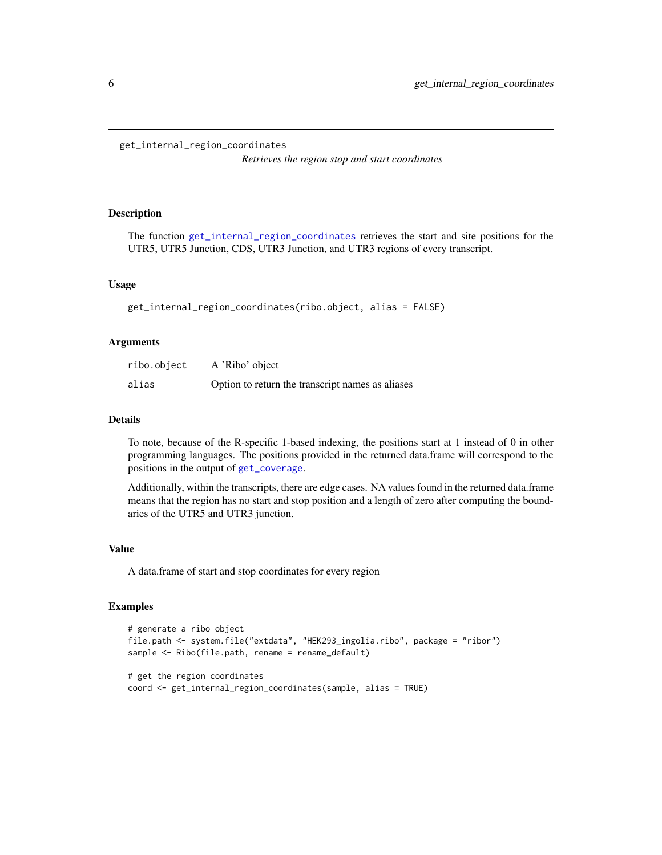#### <span id="page-5-1"></span><span id="page-5-0"></span>get\_internal\_region\_coordinates

*Retrieves the region stop and start coordinates*

# Description

The function [get\\_internal\\_region\\_coordinates](#page-5-1) retrieves the start and site positions for the UTR5, UTR5 Junction, CDS, UTR3 Junction, and UTR3 regions of every transcript.

#### Usage

```
get_internal_region_coordinates(ribo.object, alias = FALSE)
```
### Arguments

| ribo.object | A 'Ribo' object                                  |
|-------------|--------------------------------------------------|
| alias       | Option to return the transcript names as aliases |

# Details

To note, because of the R-specific 1-based indexing, the positions start at 1 instead of 0 in other programming languages. The positions provided in the returned data.frame will correspond to the positions in the output of [get\\_coverage](#page-1-1).

Additionally, within the transcripts, there are edge cases. NA values found in the returned data.frame means that the region has no start and stop position and a length of zero after computing the boundaries of the UTR5 and UTR3 junction.

#### Value

A data.frame of start and stop coordinates for every region

```
# generate a ribo object
file.path <- system.file("extdata", "HEK293_ingolia.ribo", package = "ribor")
sample <- Ribo(file.path, rename = rename_default)
# get the region coordinates
coord <- get_internal_region_coordinates(sample, alias = TRUE)
```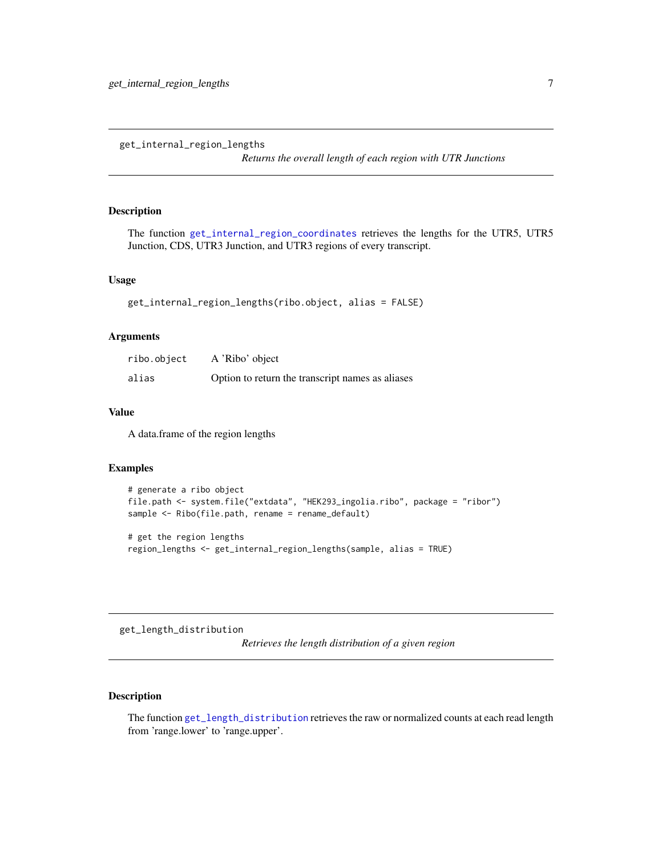<span id="page-6-2"></span><span id="page-6-0"></span>get\_internal\_region\_lengths

*Returns the overall length of each region with UTR Junctions*

#### Description

The function [get\\_internal\\_region\\_coordinates](#page-5-1) retrieves the lengths for the UTR5, UTR5 Junction, CDS, UTR3 Junction, and UTR3 regions of every transcript.

# Usage

```
get_internal_region_lengths(ribo.object, alias = FALSE)
```
#### Arguments

| ribo.object | A 'Ribo' object                                  |
|-------------|--------------------------------------------------|
| alias       | Option to return the transcript names as aliases |

# Value

A data.frame of the region lengths

# Examples

```
# generate a ribo object
file.path <- system.file("extdata", "HEK293_ingolia.ribo", package = "ribor")
sample <- Ribo(file.path, rename = rename_default)
# get the region lengths
```
region\_lengths <- get\_internal\_region\_lengths(sample, alias = TRUE)

<span id="page-6-1"></span>get\_length\_distribution

*Retrieves the length distribution of a given region*

# Description

The function [get\\_length\\_distribution](#page-6-1) retrieves the raw or normalized counts at each read length from 'range.lower' to 'range.upper'.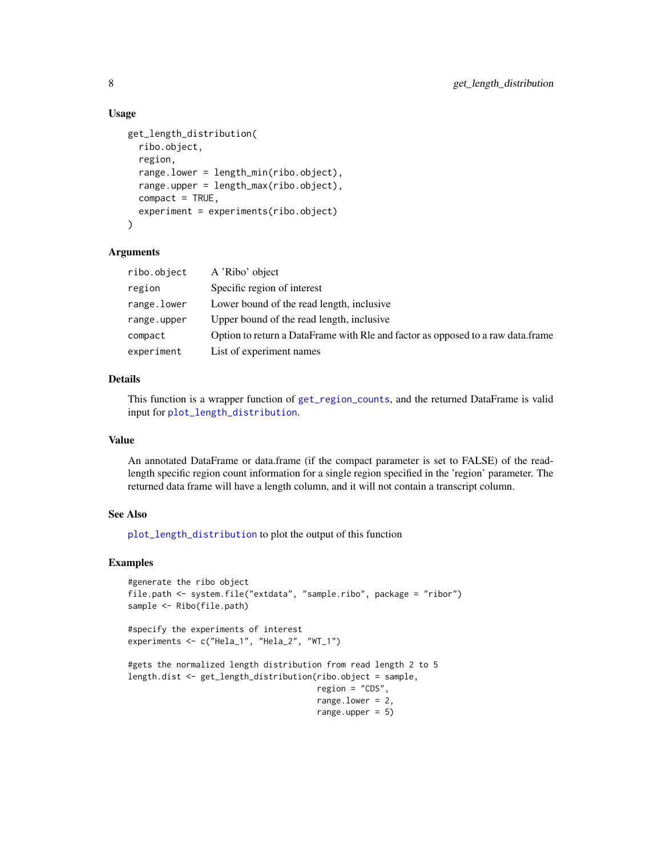# Usage

```
get_length_distribution(
  ribo.object,
  region,
  range.lower = length_min(ribo.object),
  range.upper = length_max(ribo.object),
  compact = TRUE,experiment = experiments(ribo.object)
\lambda
```
#### Arguments

| ribo.object | A 'Ribo' object                                                                 |
|-------------|---------------------------------------------------------------------------------|
| region      | Specific region of interest                                                     |
| range.lower | Lower bound of the read length, inclusive                                       |
| range.upper | Upper bound of the read length, inclusive                                       |
| compact     | Option to return a DataFrame with Rle and factor as opposed to a raw data.frame |
| experiment  | List of experiment names                                                        |

# Details

This function is a wrapper function of [get\\_region\\_counts](#page-14-1), and the returned DataFrame is valid input for [plot\\_length\\_distribution](#page-20-1).

# Value

An annotated DataFrame or data.frame (if the compact parameter is set to FALSE) of the readlength specific region count information for a single region specified in the 'region' parameter. The returned data frame will have a length column, and it will not contain a transcript column.

#### See Also

[plot\\_length\\_distribution](#page-20-1) to plot the output of this function

```
#generate the ribo object
file.path <- system.file("extdata", "sample.ribo", package = "ribor")
sample <- Ribo(file.path)
#specify the experiments of interest
experiments <- c("Hela_1", "Hela_2", "WT_1")
#gets the normalized length distribution from read length 2 to 5
length.dist <- get_length_distribution(ribo.object = sample,
                                       region = "CDS",
                                       range.lower = 2,
                                       range.upper = 5)
```
<span id="page-7-0"></span>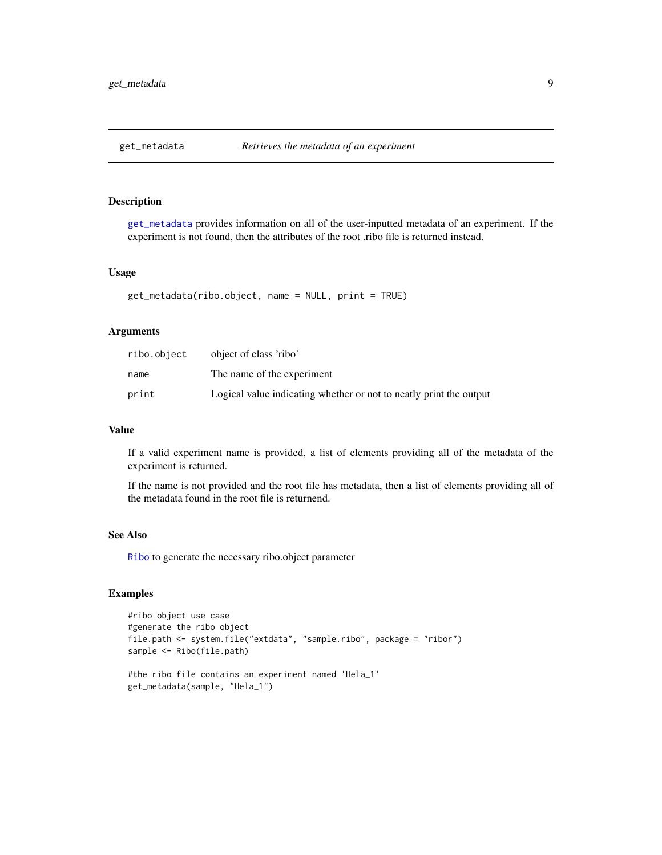<span id="page-8-1"></span><span id="page-8-0"></span>

# Description

[get\\_metadata](#page-8-1) provides information on all of the user-inputted metadata of an experiment. If the experiment is not found, then the attributes of the root .ribo file is returned instead.

# Usage

get\_metadata(ribo.object, name = NULL, print = TRUE)

# Arguments

| ribo.object | object of class 'ribo'                                             |
|-------------|--------------------------------------------------------------------|
| name        | The name of the experiment                                         |
| print       | Logical value indicating whether or not to neatly print the output |

#### Value

If a valid experiment name is provided, a list of elements providing all of the metadata of the experiment is returned.

If the name is not provided and the root file has metadata, then a list of elements providing all of the metadata found in the root file is returnend.

# See Also

[Ribo](#page-27-1) to generate the necessary ribo.object parameter

```
#ribo object use case
#generate the ribo object
file.path <- system.file("extdata", "sample.ribo", package = "ribor")
sample <- Ribo(file.path)
#the ribo file contains an experiment named 'Hela_1'
get_metadata(sample, "Hela_1")
```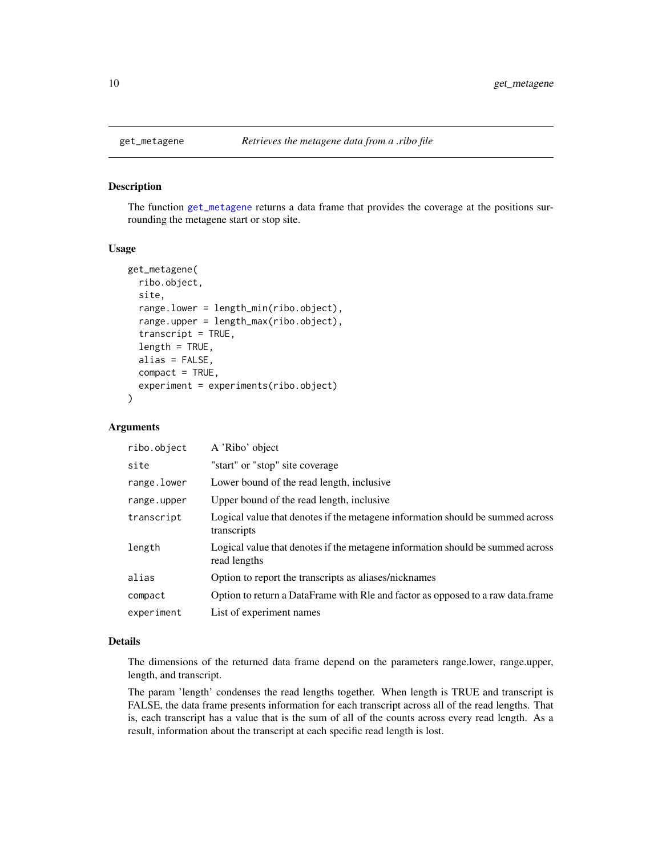#### Description

The function [get\\_metagene](#page-9-1) returns a data frame that provides the coverage at the positions surrounding the metagene start or stop site.

# Usage

```
get_metagene(
  ribo.object,
  site,
  range.lower = length_min(ribo.object),
  range.upper = length_max(ribo.object),
  transcript = TRUE,
  length = TRUE,alias = FALSE,
  compact = TRUE,experiment = experiments(ribo.object)
)
```
# Arguments

| ribo.object | A 'Ribo' object                                                                                |
|-------------|------------------------------------------------------------------------------------------------|
| site        | "start" or "stop" site coverage                                                                |
| range.lower | Lower bound of the read length, inclusive                                                      |
| range.upper | Upper bound of the read length, inclusive                                                      |
| transcript  | Logical value that denotes if the metagene information should be summed across<br>transcripts  |
| length      | Logical value that denotes if the metagene information should be summed across<br>read lengths |
| alias       | Option to report the transcripts as aliases/nicknames                                          |
| compact     | Option to return a DataFrame with RIe and factor as opposed to a raw data.frame                |
| experiment  | List of experiment names                                                                       |

#### Details

The dimensions of the returned data frame depend on the parameters range.lower, range.upper, length, and transcript.

The param 'length' condenses the read lengths together. When length is TRUE and transcript is FALSE, the data frame presents information for each transcript across all of the read lengths. That is, each transcript has a value that is the sum of all of the counts across every read length. As a result, information about the transcript at each specific read length is lost.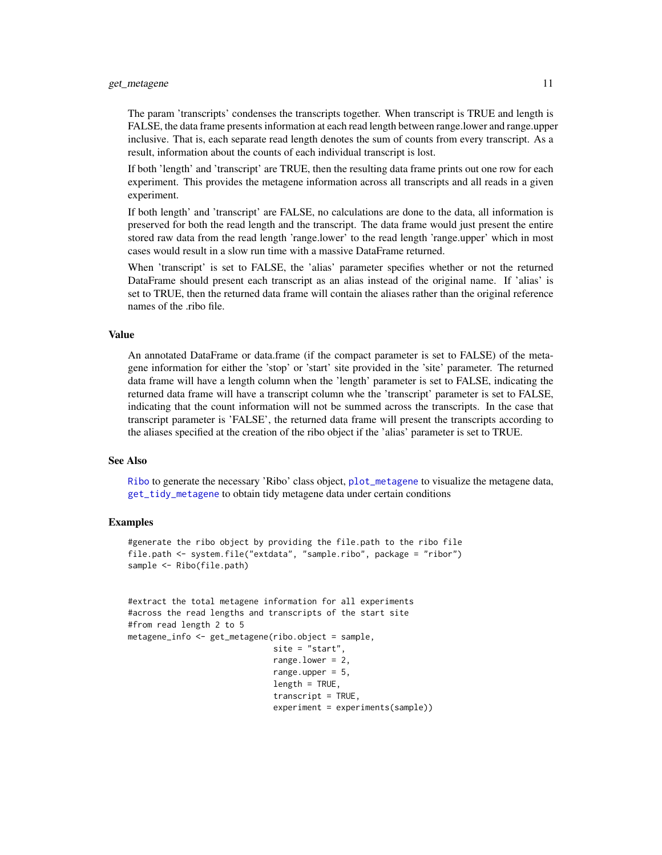#### <span id="page-10-0"></span>get\_metagene 11

The param 'transcripts' condenses the transcripts together. When transcript is TRUE and length is FALSE, the data frame presents information at each read length between range.lower and range.upper inclusive. That is, each separate read length denotes the sum of counts from every transcript. As a result, information about the counts of each individual transcript is lost.

If both 'length' and 'transcript' are TRUE, then the resulting data frame prints out one row for each experiment. This provides the metagene information across all transcripts and all reads in a given experiment.

If both length' and 'transcript' are FALSE, no calculations are done to the data, all information is preserved for both the read length and the transcript. The data frame would just present the entire stored raw data from the read length 'range.lower' to the read length 'range.upper' which in most cases would result in a slow run time with a massive DataFrame returned.

When 'transcript' is set to FALSE, the 'alias' parameter specifies whether or not the returned DataFrame should present each transcript as an alias instead of the original name. If 'alias' is set to TRUE, then the returned data frame will contain the aliases rather than the original reference names of the .ribo file.

#### Value

An annotated DataFrame or data.frame (if the compact parameter is set to FALSE) of the metagene information for either the 'stop' or 'start' site provided in the 'site' parameter. The returned data frame will have a length column when the 'length' parameter is set to FALSE, indicating the returned data frame will have a transcript column whe the 'transcript' parameter is set to FALSE, indicating that the count information will not be summed across the transcripts. In the case that transcript parameter is 'FALSE', the returned data frame will present the transcripts according to the aliases specified at the creation of the ribo object if the 'alias' parameter is set to TRUE.

#### See Also

[Ribo](#page-27-1) to generate the necessary 'Ribo' class object, [plot\\_metagene](#page-22-1) to visualize the metagene data, [get\\_tidy\\_metagene](#page-18-1) to obtain tidy metagene data under certain conditions

```
#generate the ribo object by providing the file.path to the ribo file
file.path <- system.file("extdata", "sample.ribo", package = "ribor")
sample <- Ribo(file.path)
```

```
#extract the total metagene information for all experiments
#across the read lengths and transcripts of the start site
#from read length 2 to 5
metagene_info <- get_metagene(ribo.object = sample,
                              site = "start",
                              range.lower = 2,
                              range.upper = 5,
                              length = TRUE,
                              transcript = TRUE,
                              experiment = experiments(sample))
```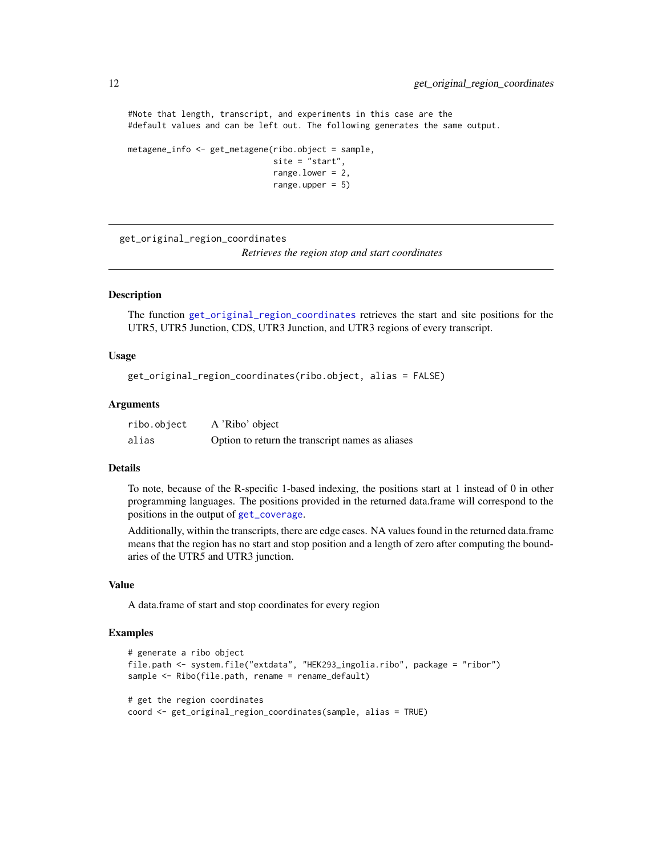#Note that length, transcript, and experiments in this case are the #default values and can be left out. The following generates the same output.

```
metagene_info <- get_metagene(ribo.object = sample,
                              site = "start",
                              range.lower = 2,
                              range.upper = 5)
```
<span id="page-11-1"></span>get\_original\_region\_coordinates

*Retrieves the region stop and start coordinates*

#### **Description**

The function [get\\_original\\_region\\_coordinates](#page-11-1) retrieves the start and site positions for the UTR5, UTR5 Junction, CDS, UTR3 Junction, and UTR3 regions of every transcript.

#### Usage

```
get_original_region_coordinates(ribo.object, alias = FALSE)
```
#### **Arguments**

| ribo.object | A 'Ribo' object                                  |
|-------------|--------------------------------------------------|
| alias       | Option to return the transcript names as aliases |

# Details

To note, because of the R-specific 1-based indexing, the positions start at 1 instead of 0 in other programming languages. The positions provided in the returned data.frame will correspond to the positions in the output of [get\\_coverage](#page-1-1).

Additionally, within the transcripts, there are edge cases. NA values found in the returned data.frame means that the region has no start and stop position and a length of zero after computing the boundaries of the UTR5 and UTR3 junction.

# Value

A data.frame of start and stop coordinates for every region

```
# generate a ribo object
file.path <- system.file("extdata", "HEK293_ingolia.ribo", package = "ribor")
sample <- Ribo(file.path, rename = rename_default)
# get the region coordinates
coord <- get_original_region_coordinates(sample, alias = TRUE)
```
<span id="page-11-0"></span>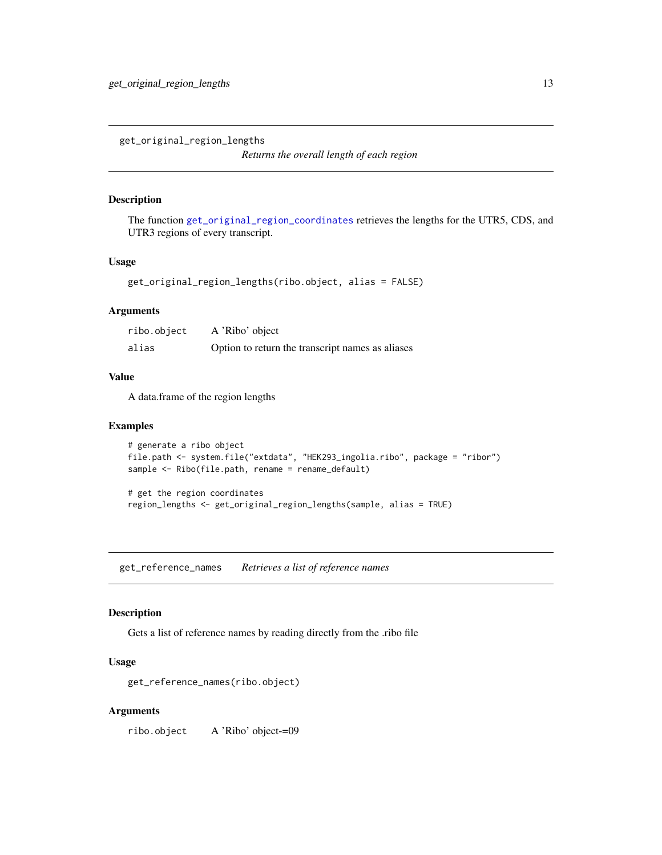<span id="page-12-0"></span>get\_original\_region\_lengths

*Returns the overall length of each region*

#### Description

The function [get\\_original\\_region\\_coordinates](#page-11-1) retrieves the lengths for the UTR5, CDS, and UTR3 regions of every transcript.

# Usage

get\_original\_region\_lengths(ribo.object, alias = FALSE)

#### Arguments

| ribo.object | A 'Ribo' object                                  |
|-------------|--------------------------------------------------|
| alias       | Option to return the transcript names as aliases |

# Value

A data.frame of the region lengths

#### Examples

```
# generate a ribo object
file.path <- system.file("extdata", "HEK293_ingolia.ribo", package = "ribor")
sample <- Ribo(file.path, rename = rename_default)
# get the region coordinates
```
region\_lengths <- get\_original\_region\_lengths(sample, alias = TRUE)

<span id="page-12-1"></span>get\_reference\_names *Retrieves a list of reference names*

#### Description

Gets a list of reference names by reading directly from the .ribo file

# Usage

get\_reference\_names(ribo.object)

#### Arguments

ribo.object A 'Ribo' object-=09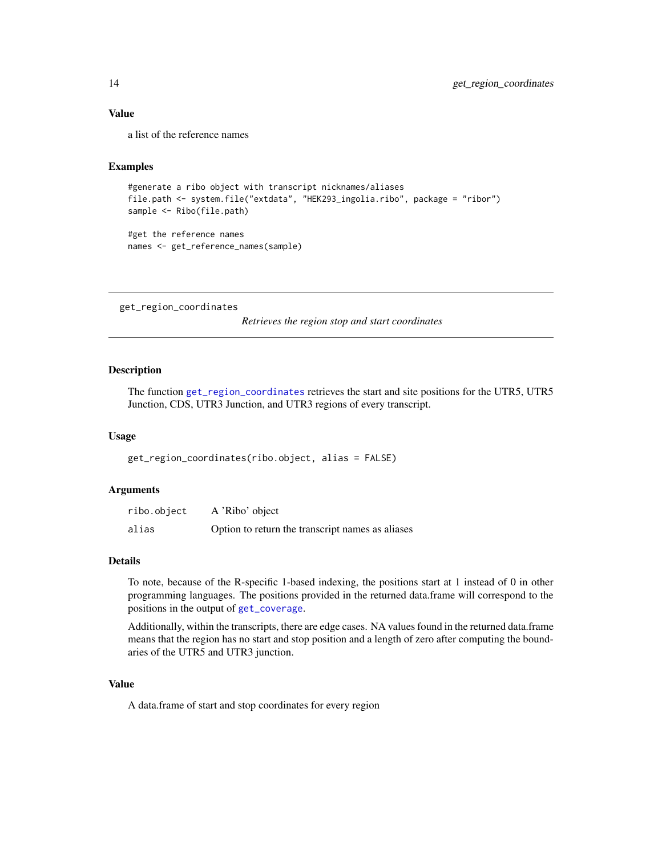# Value

a list of the reference names

# Examples

```
#generate a ribo object with transcript nicknames/aliases
file.path <- system.file("extdata", "HEK293_ingolia.ribo", package = "ribor")
sample <- Ribo(file.path)
#get the reference names
```
names <- get\_reference\_names(sample)

<span id="page-13-1"></span>get\_region\_coordinates

*Retrieves the region stop and start coordinates*

#### Description

The function [get\\_region\\_coordinates](#page-13-1) retrieves the start and site positions for the UTR5, UTR5 Junction, CDS, UTR3 Junction, and UTR3 regions of every transcript.

#### Usage

get\_region\_coordinates(ribo.object, alias = FALSE)

### Arguments

| ribo.object | A 'Ribo' object                                  |
|-------------|--------------------------------------------------|
| alias       | Option to return the transcript names as aliases |

#### Details

To note, because of the R-specific 1-based indexing, the positions start at 1 instead of 0 in other programming languages. The positions provided in the returned data.frame will correspond to the positions in the output of [get\\_coverage](#page-1-1).

Additionally, within the transcripts, there are edge cases. NA values found in the returned data.frame means that the region has no start and stop position and a length of zero after computing the boundaries of the UTR5 and UTR3 junction.

#### Value

A data.frame of start and stop coordinates for every region

<span id="page-13-0"></span>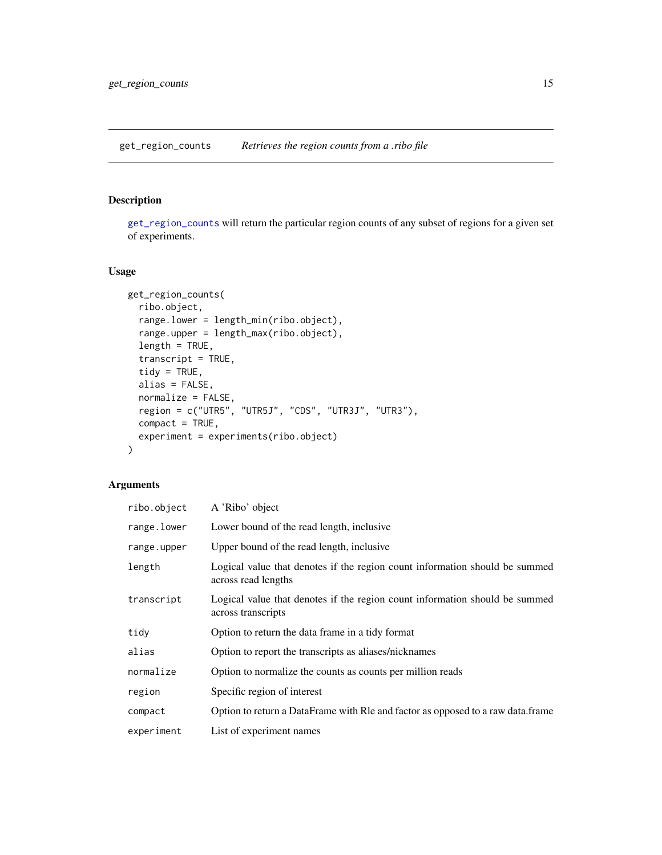<span id="page-14-1"></span><span id="page-14-0"></span>get\_region\_counts *Retrieves the region counts from a .ribo file*

# Description

[get\\_region\\_counts](#page-14-1) will return the particular region counts of any subset of regions for a given set of experiments.

# Usage

```
get_region_counts(
  ribo.object,
  range.lower = length_min(ribo.object),
  range.upper = length_max(ribo.object),
 length = TRUE,
  transcript = TRUE,
  tidy = TRUE,
  alias = FALSE,
 normalize = FALSE,
  region = c("UTR5", "UTR5J", "CDS", "UTR3J", "UTR3"),
 compact = TRUE,experiment = experiments(ribo.object)
\mathcal{L}
```
# Arguments

| ribo.object | A 'Ribo' object                                                                                    |
|-------------|----------------------------------------------------------------------------------------------------|
| range.lower | Lower bound of the read length, inclusive                                                          |
| range.upper | Upper bound of the read length, inclusive                                                          |
| length      | Logical value that denotes if the region count information should be summed<br>across read lengths |
| transcript  | Logical value that denotes if the region count information should be summed<br>across transcripts  |
| tidy        | Option to return the data frame in a tidy format                                                   |
| alias       | Option to report the transcripts as aliases/nicknames                                              |
| normalize   | Option to normalize the counts as counts per million reads                                         |
| region      | Specific region of interest                                                                        |
| compact     | Option to return a DataFrame with RIe and factor as opposed to a raw data.frame                    |
| experiment  | List of experiment names                                                                           |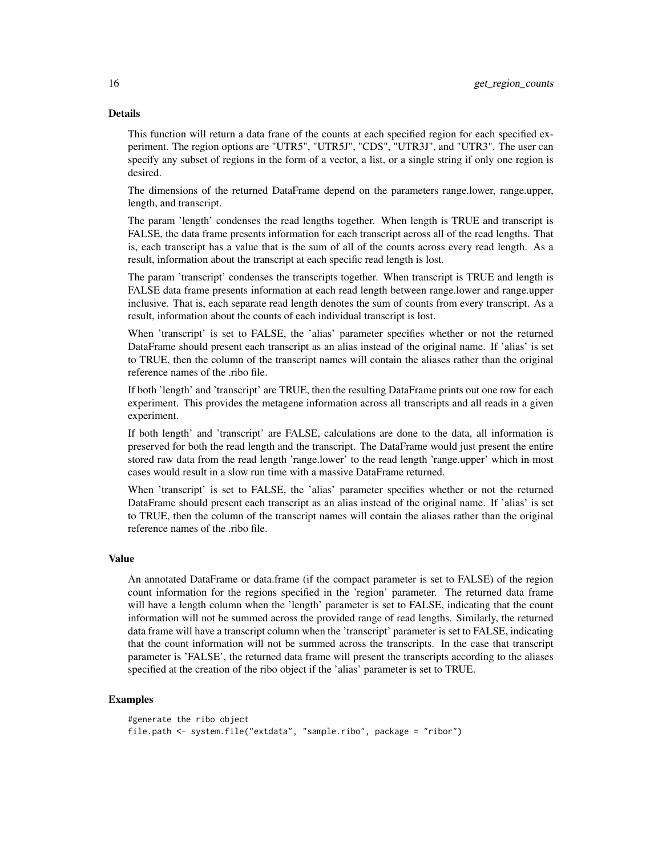# Details

This function will return a data frane of the counts at each specified region for each specified experiment. The region options are "UTR5", "UTR5J", "CDS", "UTR3J", and "UTR3". The user can specify any subset of regions in the form of a vector, a list, or a single string if only one region is desired.

The dimensions of the returned DataFrame depend on the parameters range.lower, range.upper, length, and transcript.

The param 'length' condenses the read lengths together. When length is TRUE and transcript is FALSE, the data frame presents information for each transcript across all of the read lengths. That is, each transcript has a value that is the sum of all of the counts across every read length. As a result, information about the transcript at each specific read length is lost.

The param 'transcript' condenses the transcripts together. When transcript is TRUE and length is FALSE data frame presents information at each read length between range.lower and range.upper inclusive. That is, each separate read length denotes the sum of counts from every transcript. As a result, information about the counts of each individual transcript is lost.

When 'transcript' is set to FALSE, the 'alias' parameter specifies whether or not the returned DataFrame should present each transcript as an alias instead of the original name. If 'alias' is set to TRUE, then the column of the transcript names will contain the aliases rather than the original reference names of the .ribo file.

If both 'length' and 'transcript' are TRUE, then the resulting DataFrame prints out one row for each experiment. This provides the metagene information across all transcripts and all reads in a given experiment.

If both length' and 'transcript' are FALSE, calculations are done to the data, all information is preserved for both the read length and the transcript. The DataFrame would just present the entire stored raw data from the read length 'range.lower' to the read length 'range.upper' which in most cases would result in a slow run time with a massive DataFrame returned.

When 'transcript' is set to FALSE, the 'alias' parameter specifies whether or not the returned DataFrame should present each transcript as an alias instead of the original name. If 'alias' is set to TRUE, then the column of the transcript names will contain the aliases rather than the original reference names of the .ribo file.

#### Value

An annotated DataFrame or data.frame (if the compact parameter is set to FALSE) of the region count information for the regions specified in the 'region' parameter. The returned data frame will have a length column when the 'length' parameter is set to FALSE, indicating that the count information will not be summed across the provided range of read lengths. Similarly, the returned data frame will have a transcript column when the 'transcript' parameter is set to FALSE, indicating that the count information will not be summed across the transcripts. In the case that transcript parameter is 'FALSE', the returned data frame will present the transcripts according to the aliases specified at the creation of the ribo object if the 'alias' parameter is set to TRUE.

```
#generate the ribo object
file.path <- system.file("extdata", "sample.ribo", package = "ribor")
```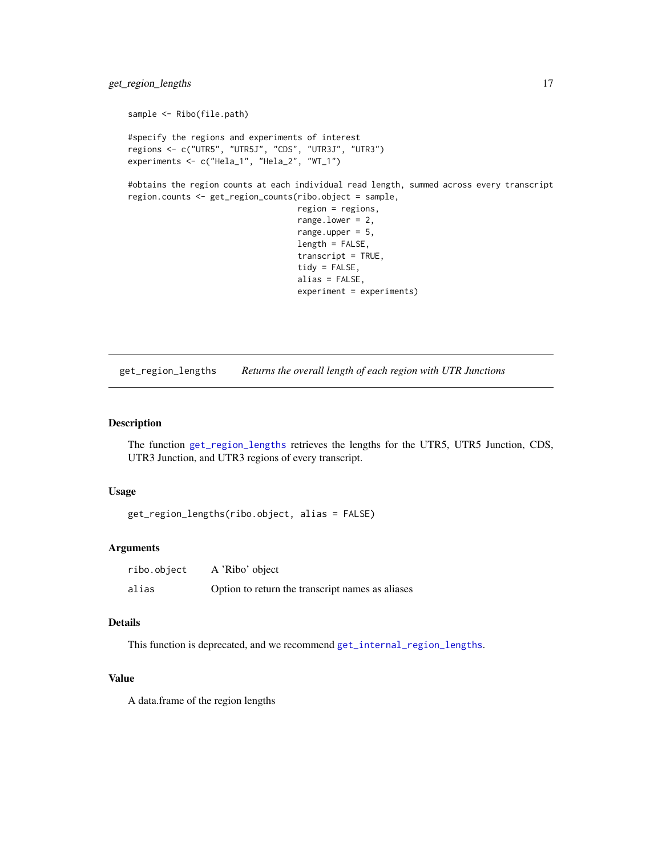```
sample <- Ribo(file.path)
#specify the regions and experiments of interest
regions <- c("UTR5", "UTR5J", "CDS", "UTR3J", "UTR3")
experiments <- c("Hela_1", "Hela_2", "WT_1")
#obtains the region counts at each individual read length, summed across every transcript
region.counts <- get_region_counts(ribo.object = sample,
                                   region = regions,
                                   range.lower = 2,
                                   range.upper = 5,
                                   length = FALSE,
                                   transcript = TRUE,
                                   tidy = FALSE,
                                   alias = FALSE,
                                   experiment = experiments)
```
<span id="page-16-1"></span>get\_region\_lengths *Returns the overall length of each region with UTR Junctions*

# Description

The function [get\\_region\\_lengths](#page-16-1) retrieves the lengths for the UTR5, UTR5 Junction, CDS, UTR3 Junction, and UTR3 regions of every transcript.

#### Usage

get\_region\_lengths(ribo.object, alias = FALSE)

# Arguments

| ribo.object | A 'Ribo' object                                  |
|-------------|--------------------------------------------------|
| alias       | Option to return the transcript names as aliases |

# Details

This function is deprecated, and we recommend [get\\_internal\\_region\\_lengths](#page-6-2).

#### Value

A data.frame of the region lengths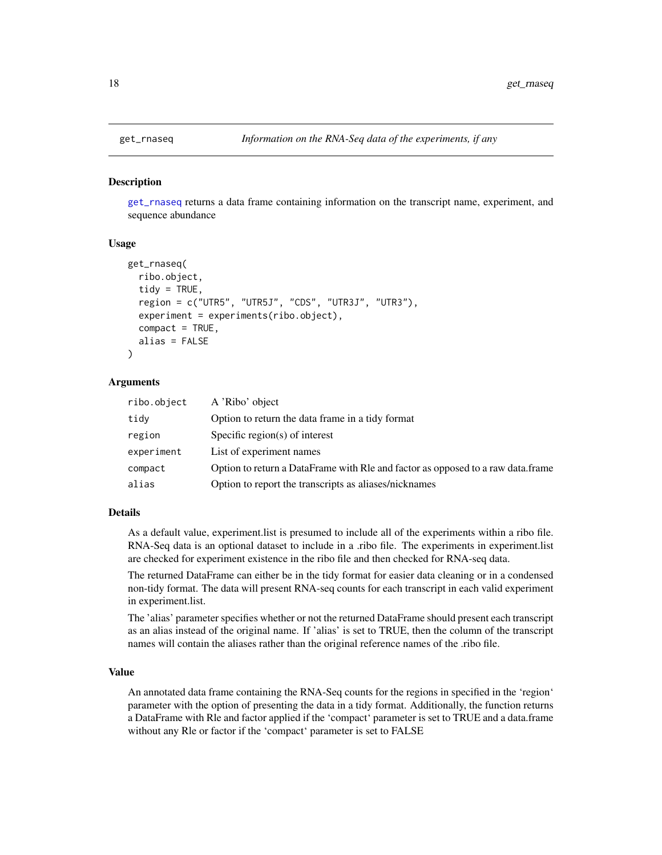<span id="page-17-1"></span><span id="page-17-0"></span>

#### **Description**

[get\\_rnaseq](#page-17-1) returns a data frame containing information on the transcript name, experiment, and sequence abundance

#### Usage

```
get_rnaseq(
  ribo.object,
  tidy = TRUE,region = c("UTR5", "UTR5J", "CDS", "UTR3J", "UTR3"),
  experiment = experiments(ribo.object),
  compact = TRUE,alias = FALSE
)
```
### Arguments

| ribo.object | A 'Ribo' object                                                                 |
|-------------|---------------------------------------------------------------------------------|
| tidy        | Option to return the data frame in a tidy format                                |
| region      | Specific region(s) of interest                                                  |
| experiment  | List of experiment names                                                        |
| compact     | Option to return a DataFrame with RIe and factor as opposed to a raw data.frame |
| alias       | Option to report the transcripts as aliases/nicknames                           |

# Details

As a default value, experiment.list is presumed to include all of the experiments within a ribo file. RNA-Seq data is an optional dataset to include in a .ribo file. The experiments in experiment.list are checked for experiment existence in the ribo file and then checked for RNA-seq data.

The returned DataFrame can either be in the tidy format for easier data cleaning or in a condensed non-tidy format. The data will present RNA-seq counts for each transcript in each valid experiment in experiment.list.

The 'alias' parameter specifies whether or not the returned DataFrame should present each transcript as an alias instead of the original name. If 'alias' is set to TRUE, then the column of the transcript names will contain the aliases rather than the original reference names of the .ribo file.

# Value

An annotated data frame containing the RNA-Seq counts for the regions in specified in the 'region' parameter with the option of presenting the data in a tidy format. Additionally, the function returns a DataFrame with Rle and factor applied if the 'compact' parameter is set to TRUE and a data.frame without any Rle or factor if the 'compact' parameter is set to FALSE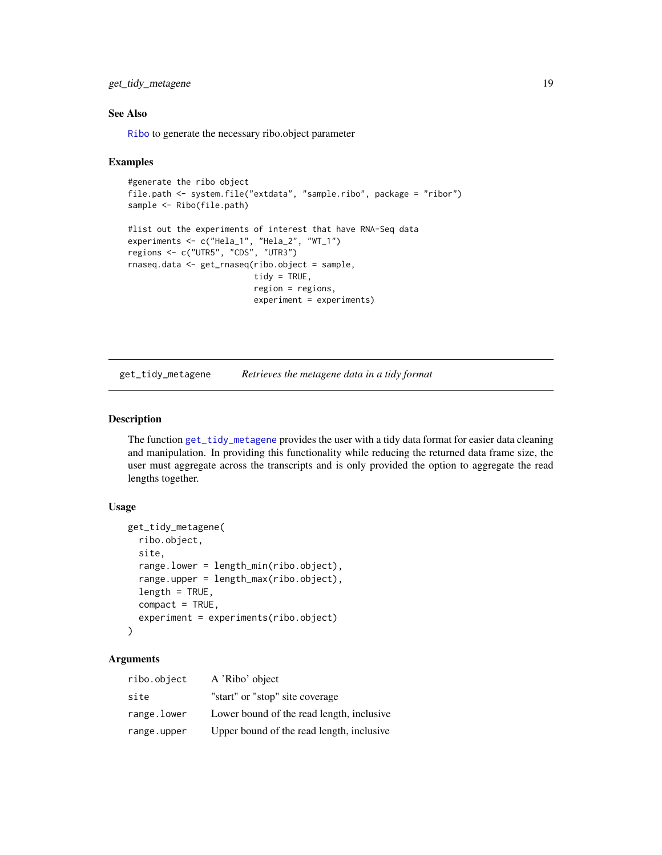# <span id="page-18-0"></span>get\_tidy\_metagene 19

# See Also

[Ribo](#page-27-1) to generate the necessary ribo.object parameter

#### Examples

```
#generate the ribo object
file.path <- system.file("extdata", "sample.ribo", package = "ribor")
sample <- Ribo(file.path)
#list out the experiments of interest that have RNA-Seq data
experiments <- c("Hela_1", "Hela_2", "WT_1")
regions <- c("UTR5", "CDS", "UTR3")
rnaseq.data <- get_rnaseq(ribo.object = sample,
                          tidy = TRUE,region = regions,
                          experiment = experiments)
```
<span id="page-18-1"></span>get\_tidy\_metagene *Retrieves the metagene data in a tidy format*

# Description

The function [get\\_tidy\\_metagene](#page-18-1) provides the user with a tidy data format for easier data cleaning and manipulation. In providing this functionality while reducing the returned data frame size, the user must aggregate across the transcripts and is only provided the option to aggregate the read lengths together.

#### Usage

```
get_tidy_metagene(
  ribo.object,
  site,
  range.lower = length_min(ribo.object),
  range.upper = length_max(ribo.object),
  length = TRUE,compact = TRUE,experiment = experiments(ribo.object)
\lambda
```
# Arguments

| ribo.object | A 'Ribo' object                           |
|-------------|-------------------------------------------|
| site        | "start" or "stop" site coverage           |
| range.lower | Lower bound of the read length, inclusive |
| range.upper | Upper bound of the read length, inclusive |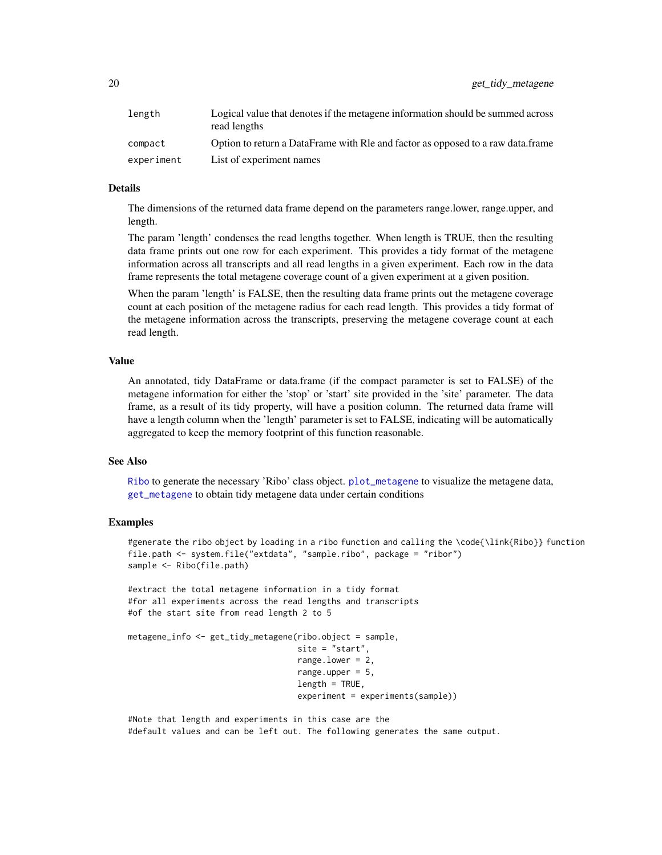<span id="page-19-0"></span>

| length     | Logical value that denotes if the metagene information should be summed across<br>read lengths |
|------------|------------------------------------------------------------------------------------------------|
| compact    | Option to return a DataFrame with RIe and factor as opposed to a raw data.frame                |
| experiment | List of experiment names                                                                       |

#### Details

The dimensions of the returned data frame depend on the parameters range.lower, range.upper, and length.

The param 'length' condenses the read lengths together. When length is TRUE, then the resulting data frame prints out one row for each experiment. This provides a tidy format of the metagene information across all transcripts and all read lengths in a given experiment. Each row in the data frame represents the total metagene coverage count of a given experiment at a given position.

When the param 'length' is FALSE, then the resulting data frame prints out the metagene coverage count at each position of the metagene radius for each read length. This provides a tidy format of the metagene information across the transcripts, preserving the metagene coverage count at each read length.

#### Value

An annotated, tidy DataFrame or data.frame (if the compact parameter is set to FALSE) of the metagene information for either the 'stop' or 'start' site provided in the 'site' parameter. The data frame, as a result of its tidy property, will have a position column. The returned data frame will have a length column when the 'length' parameter is set to FALSE, indicating will be automatically aggregated to keep the memory footprint of this function reasonable.

#### See Also

[Ribo](#page-27-1) to generate the necessary 'Ribo' class object. [plot\\_metagene](#page-22-1) to visualize the metagene data, [get\\_metagene](#page-9-1) to obtain tidy metagene data under certain conditions

# Examples

```
#generate the ribo object by loading in a ribo function and calling the \code{\link{Ribo}} function
file.path <- system.file("extdata", "sample.ribo", package = "ribor")
sample <- Ribo(file.path)
```
#extract the total metagene information in a tidy format #for all experiments across the read lengths and transcripts #of the start site from read length 2 to 5

```
metagene_info <- get_tidy_metagene(ribo.object = sample,
                                   site = "start",
                                   range.lower = 2,
                                   range.upper = 5,
                                   length = TRUE,
                                   experiment = experiments(sample))
```
#Note that length and experiments in this case are the #default values and can be left out. The following generates the same output.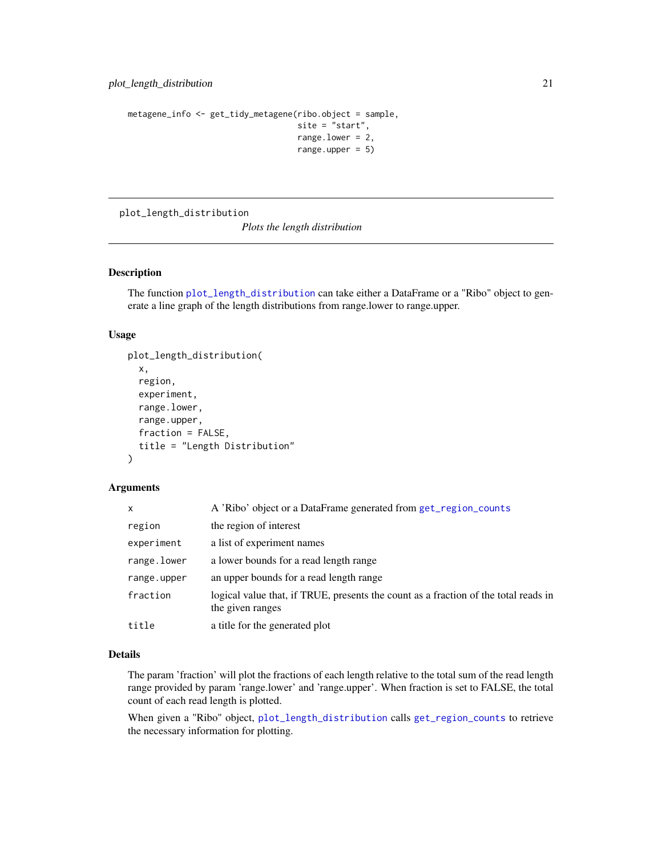```
metagene_info <- get_tidy_metagene(ribo.object = sample,
                                   site = "start",
                                   range.lower = 2,
                                   range.upper = 5)
```
<span id="page-20-1"></span>plot\_length\_distribution

*Plots the length distribution*

# Description

The function [plot\\_length\\_distribution](#page-20-1) can take either a DataFrame or a "Ribo" object to generate a line graph of the length distributions from range.lower to range.upper.

### Usage

```
plot_length_distribution(
  x,
  region,
  experiment,
  range.lower,
  range.upper,
  fraction = FALSE,
  title = "Length Distribution"
\lambda
```
# Arguments

| X           | A 'Ribo' object or a DataFrame generated from get_region_counts                                         |
|-------------|---------------------------------------------------------------------------------------------------------|
| region      | the region of interest                                                                                  |
| experiment  | a list of experiment names                                                                              |
| range.lower | a lower bounds for a read length range                                                                  |
| range.upper | an upper bounds for a read length range                                                                 |
| fraction    | logical value that, if TRUE, presents the count as a fraction of the total reads in<br>the given ranges |
| title       | a title for the generated plot                                                                          |

#### Details

The param 'fraction' will plot the fractions of each length relative to the total sum of the read length range provided by param 'range.lower' and 'range.upper'. When fraction is set to FALSE, the total count of each read length is plotted.

When given a "Ribo" object, [plot\\_length\\_distribution](#page-20-1) calls [get\\_region\\_counts](#page-14-1) to retrieve the necessary information for plotting.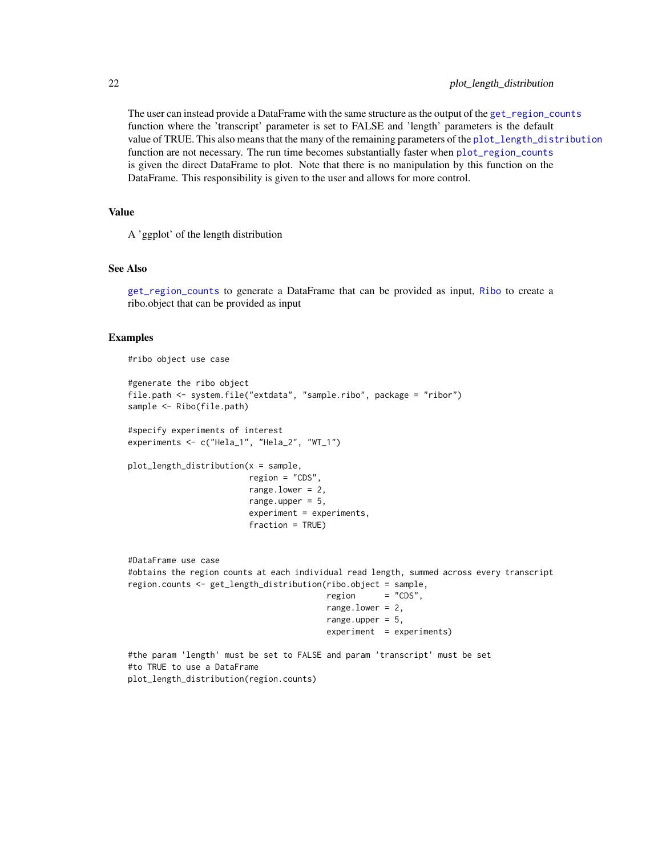# <span id="page-21-0"></span>22 plot\_length\_distribution

The user can instead provide a DataFrame with the same structure as the output of the [get\\_region\\_counts](#page-14-1) function where the 'transcript' parameter is set to FALSE and 'length' parameters is the default value of TRUE. This also means that the many of the remaining parameters of the [plot\\_length\\_distribution](#page-20-1) function are not necessary. The run time becomes substantially faster when [plot\\_region\\_counts](#page-23-1) is given the direct DataFrame to plot. Note that there is no manipulation by this function on the DataFrame. This responsibility is given to the user and allows for more control.

# Value

A 'ggplot' of the length distribution

#### See Also

[get\\_region\\_counts](#page-14-1) to generate a DataFrame that can be provided as input, [Ribo](#page-27-1) to create a ribo.object that can be provided as input

#### Examples

```
#ribo object use case
```

```
#generate the ribo object
file.path <- system.file("extdata", "sample.ribo", package = "ribor")
sample <- Ribo(file.path)
```

```
#specify experiments of interest
experiments <- c("Hela_1", "Hela_2", "WT_1")
```
plot\_length\_distribution(x = sample, region = "CDS",

```
range. lower = 2,
range.upper = 5,
experiment = experiments,
fraction = TRUE)
```
#DataFrame use case #obtains the region counts at each individual read length, summed across every transcript region.counts <- get\_length\_distribution(ribo.object = sample,  $rezion = "CDS".$ range.lower = 2, range.upper =  $5$ ,  $experiment = experiment$ #the param 'length' must be set to FALSE and param 'transcript' must be set #to TRUE to use a DataFrame

plot\_length\_distribution(region.counts)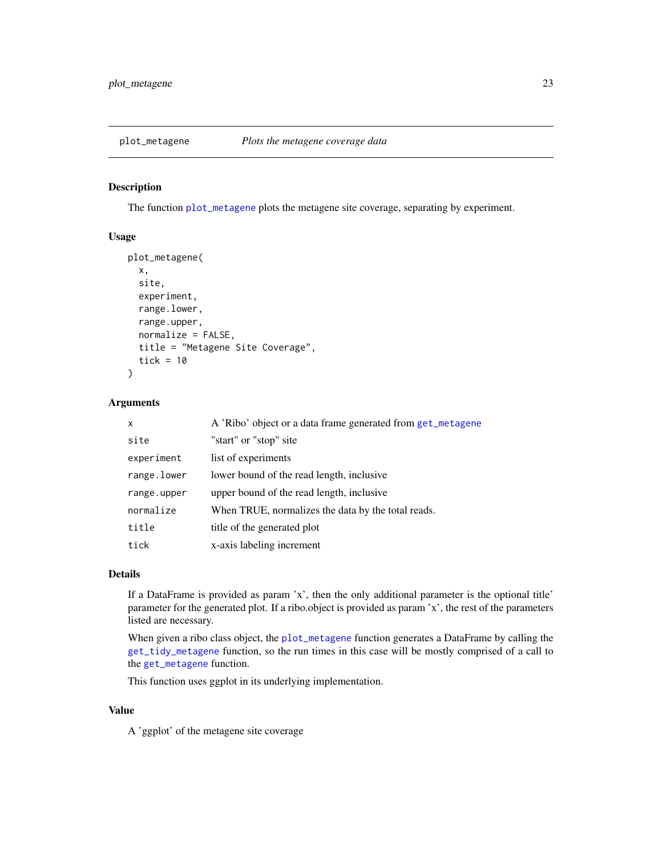<span id="page-22-1"></span><span id="page-22-0"></span>

#### Description

The function [plot\\_metagene](#page-22-1) plots the metagene site coverage, separating by experiment.

# Usage

```
plot_metagene(
  x,
  site,
  experiment,
  range.lower,
  range.upper,
  normalize = FALSE,
  title = "Metagene Site Coverage",
  tick = 10)
```
# Arguments

| x           | A 'Ribo' object or a data frame generated from get_metagene |
|-------------|-------------------------------------------------------------|
| site        | "start" or "stop" site                                      |
| experiment  | list of experiments                                         |
| range.lower | lower bound of the read length, inclusive                   |
| range.upper | upper bound of the read length, inclusive                   |
| normalize   | When TRUE, normalizes the data by the total reads.          |
| title       | title of the generated plot                                 |
| tick        | x-axis labeling increment                                   |

# Details

If a DataFrame is provided as param 'x', then the only additional parameter is the optional title' parameter for the generated plot. If a ribo.object is provided as param 'x', the rest of the parameters listed are necessary.

When given a ribo class object, the [plot\\_metagene](#page-22-1) function generates a DataFrame by calling the [get\\_tidy\\_metagene](#page-18-1) function, so the run times in this case will be mostly comprised of a call to the [get\\_metagene](#page-9-1) function.

This function uses ggplot in its underlying implementation.

# Value

A 'ggplot' of the metagene site coverage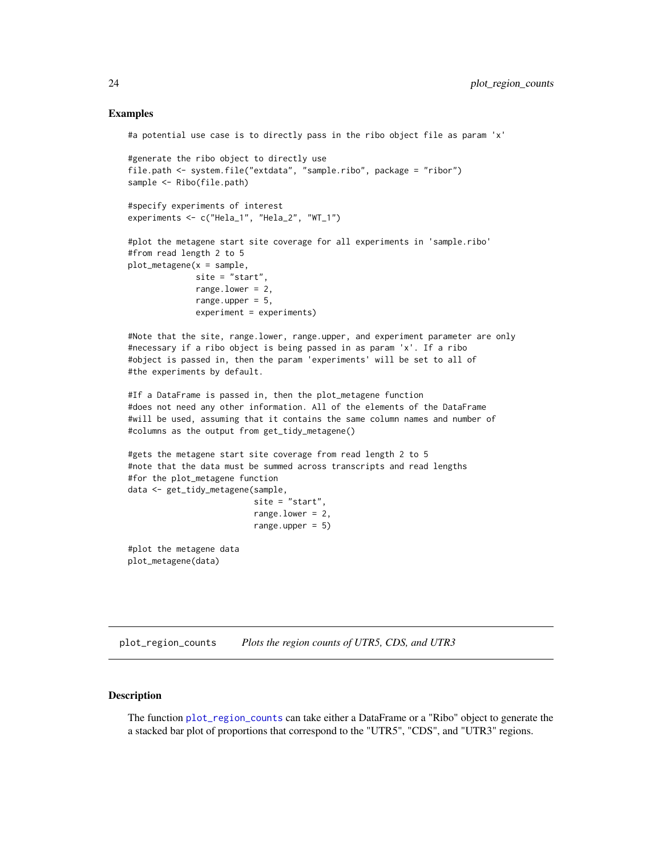#### Examples

```
#a potential use case is to directly pass in the ribo object file as param 'x'
#generate the ribo object to directly use
file.path <- system.file("extdata", "sample.ribo", package = "ribor")
sample <- Ribo(file.path)
#specify experiments of interest
experiments <- c("Hela_1", "Hela_2", "WT_1")
#plot the metagene start site coverage for all experiments in 'sample.ribo'
#from read length 2 to 5
plot_metagene(x = sample,site = "start",
             range.lower = 2,
             range.upper = 5,
              experiment = experiments)
#Note that the site, range.lower, range.upper, and experiment parameter are only
#necessary if a ribo object is being passed in as param 'x'. If a ribo
#object is passed in, then the param 'experiments' will be set to all of
#the experiments by default.
#If a DataFrame is passed in, then the plot_metagene function
#does not need any other information. All of the elements of the DataFrame
#will be used, assuming that it contains the same column names and number of
#columns as the output from get_tidy_metagene()
#gets the metagene start site coverage from read length 2 to 5
#note that the data must be summed across transcripts and read lengths
#for the plot_metagene function
data <- get_tidy_metagene(sample,
                          site = "start",
                          range.lower = 2,
                          range.upper = 5)#plot the metagene data
plot_metagene(data)
```
<span id="page-23-1"></span>plot\_region\_counts *Plots the region counts of UTR5, CDS, and UTR3*

# Description

The function [plot\\_region\\_counts](#page-23-1) can take either a DataFrame or a "Ribo" object to generate the a stacked bar plot of proportions that correspond to the "UTR5", "CDS", and "UTR3" regions.

<span id="page-23-0"></span>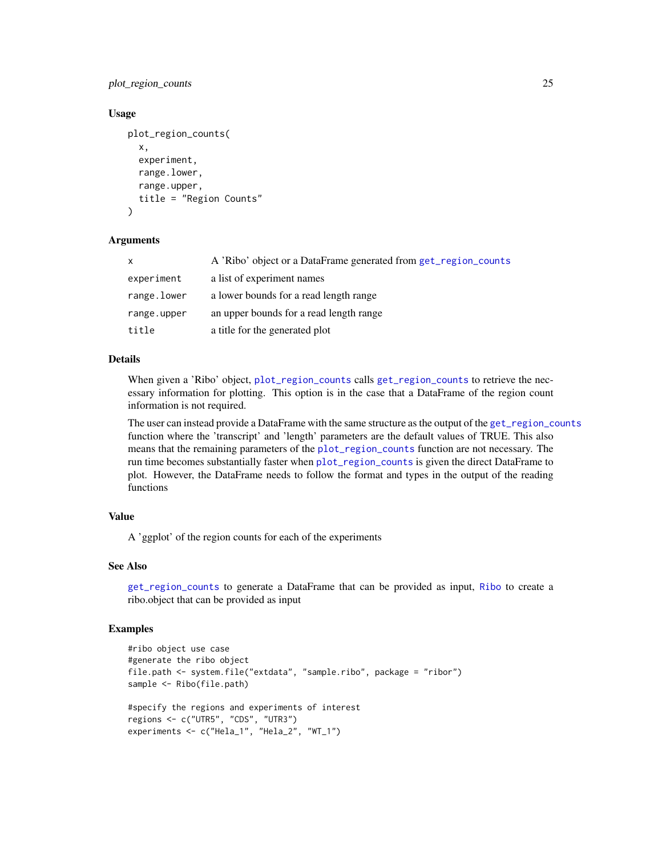<span id="page-24-0"></span>plot\_region\_counts 25

#### Usage

```
plot_region_counts(
  x,
  experiment,
  range.lower,
  range.upper,
  title = "Region Counts"
)
```
#### **Arguments**

| X           | A 'Ribo' object or a DataFrame generated from get_region_counts |
|-------------|-----------------------------------------------------------------|
| experiment  | a list of experiment names                                      |
| range.lower | a lower bounds for a read length range                          |
| range.upper | an upper bounds for a read length range                         |
| title       | a title for the generated plot                                  |

#### Details

When given a 'Ribo' object, [plot\\_region\\_counts](#page-23-1) calls [get\\_region\\_counts](#page-14-1) to retrieve the necessary information for plotting. This option is in the case that a DataFrame of the region count information is not required.

The user can instead provide a DataFrame with the same structure as the output of the [get\\_region\\_counts](#page-14-1) function where the 'transcript' and 'length' parameters are the default values of TRUE. This also means that the remaining parameters of the [plot\\_region\\_counts](#page-23-1) function are not necessary. The run time becomes substantially faster when [plot\\_region\\_counts](#page-23-1) is given the direct DataFrame to plot. However, the DataFrame needs to follow the format and types in the output of the reading functions

# Value

A 'ggplot' of the region counts for each of the experiments

#### See Also

[get\\_region\\_counts](#page-14-1) to generate a DataFrame that can be provided as input, [Ribo](#page-27-1) to create a ribo.object that can be provided as input

```
#ribo object use case
#generate the ribo object
file.path <- system.file("extdata", "sample.ribo", package = "ribor")
sample <- Ribo(file.path)
#specify the regions and experiments of interest
regions <- c("UTR5", "CDS", "UTR3")
experiments <- c("Hela_1", "Hela_2", "WT_1")
```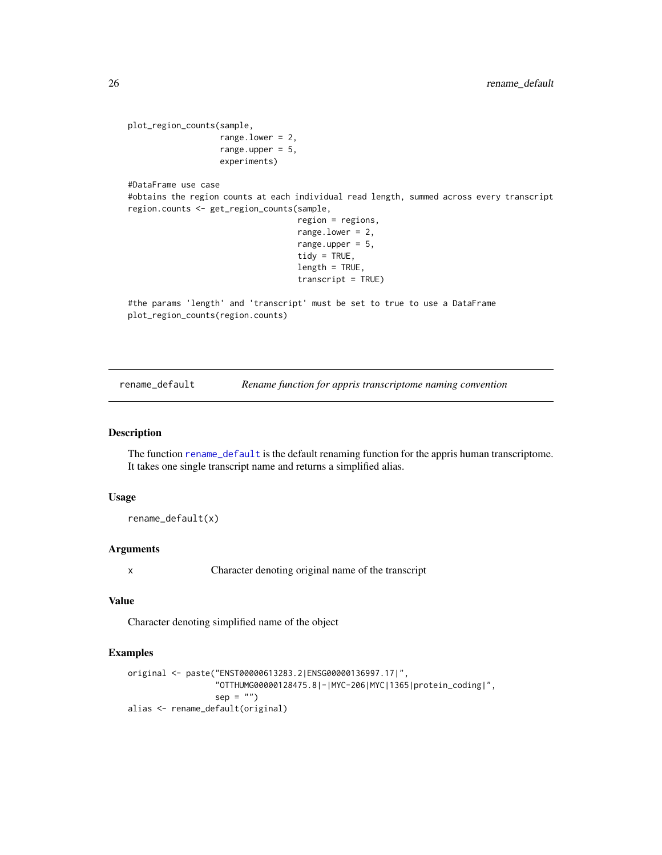```
plot_region_counts(sample,
                   range.lower = 2,
                   range.upper = 5,
                   experiments)
#DataFrame use case
```
#obtains the region counts at each individual read length, summed across every transcript region.counts <- get\_region\_counts(sample,

```
region = regions,
range.lower = 2,
range.upper = 5,
tidy = TRUE,
length = TRUE,
transcript = TRUE)
```
#the params 'length' and 'transcript' must be set to true to use a DataFrame plot\_region\_counts(region.counts)

<span id="page-25-1"></span>rename\_default *Rename function for appris transcriptome naming convention*

# Description

The function [rename\\_default](#page-25-1) is the default renaming function for the appris human transcriptome. It takes one single transcript name and returns a simplified alias.

#### Usage

```
rename_default(x)
```
#### Arguments

x Character denoting original name of the transcript

# Value

Character denoting simplified name of the object

```
original <- paste("ENST00000613283.2|ENSG00000136997.17|",
                  "OTTHUMG00000128475.8|-|MYC-206|MYC|1365|protein_coding|",
                  sep = "")alias <- rename_default(original)
```
<span id="page-25-0"></span>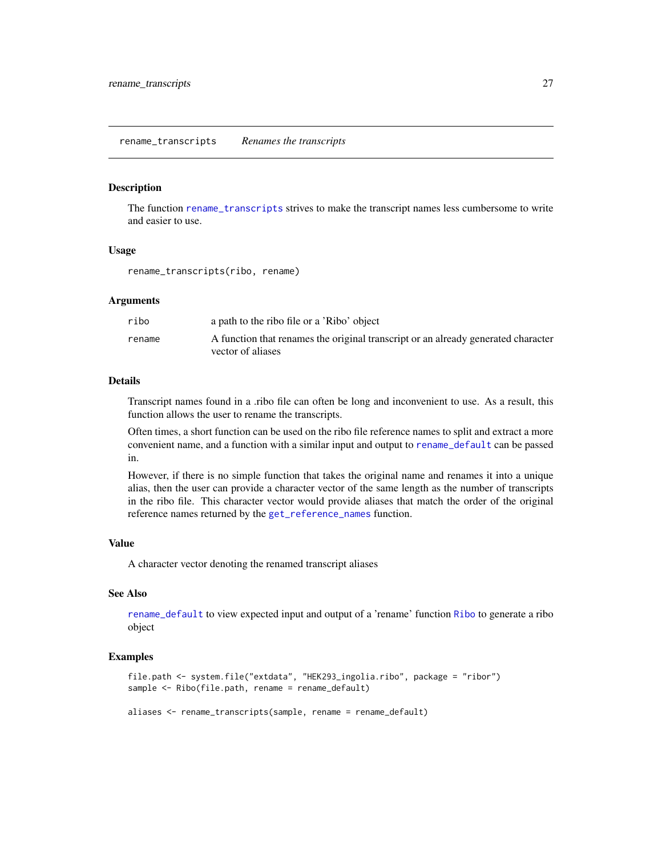#### <span id="page-26-1"></span><span id="page-26-0"></span>Description

The function [rename\\_transcripts](#page-26-1) strives to make the transcript names less cumbersome to write and easier to use.

#### Usage

rename\_transcripts(ribo, rename)

#### Arguments

| ribo   | a path to the ribo file or a 'Ribo' object                                                             |
|--------|--------------------------------------------------------------------------------------------------------|
| rename | A function that renames the original transcript or an already generated character<br>vector of aliases |

#### Details

Transcript names found in a .ribo file can often be long and inconvenient to use. As a result, this function allows the user to rename the transcripts.

Often times, a short function can be used on the ribo file reference names to split and extract a more convenient name, and a function with a similar input and output to [rename\\_default](#page-25-1) can be passed in.

However, if there is no simple function that takes the original name and renames it into a unique alias, then the user can provide a character vector of the same length as the number of transcripts in the ribo file. This character vector would provide aliases that match the order of the original reference names returned by the [get\\_reference\\_names](#page-12-1) function.

#### Value

A character vector denoting the renamed transcript aliases

# See Also

[rename\\_default](#page-25-1) to view expected input and output of a 'rename' function [Ribo](#page-27-1) to generate a ribo object

#### Examples

file.path <- system.file("extdata", "HEK293\_ingolia.ribo", package = "ribor") sample <- Ribo(file.path, rename = rename\_default)

aliases <- rename\_transcripts(sample, rename = rename\_default)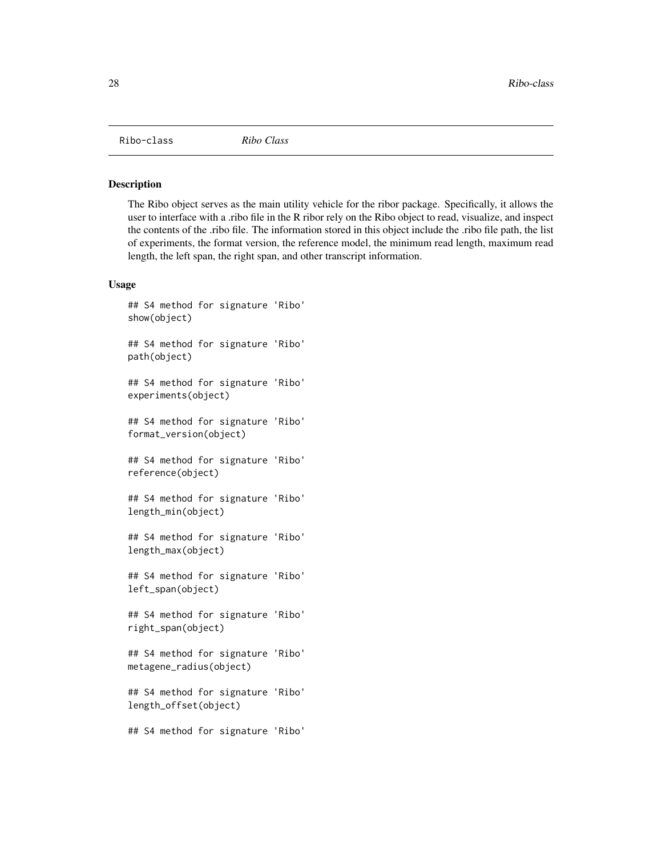<span id="page-27-0"></span>Ribo-class *Ribo Class*

#### <span id="page-27-1"></span>Description

The Ribo object serves as the main utility vehicle for the ribor package. Specifically, it allows the user to interface with a .ribo file in the R ribor rely on the Ribo object to read, visualize, and inspect the contents of the .ribo file. The information stored in this object include the .ribo file path, the list of experiments, the format version, the reference model, the minimum read length, maximum read length, the left span, the right span, and other transcript information.

# Usage

```
## S4 method for signature 'Ribo'
show(object)
## S4 method for signature 'Ribo'
path(object)
## S4 method for signature 'Ribo'
experiments(object)
## S4 method for signature 'Ribo'
format_version(object)
## S4 method for signature 'Ribo'
reference(object)
## S4 method for signature 'Ribo'
length_min(object)
## S4 method for signature 'Ribo'
length_max(object)
## S4 method for signature 'Ribo'
left_span(object)
## S4 method for signature 'Ribo'
right_span(object)
## S4 method for signature 'Ribo'
metagene_radius(object)
## S4 method for signature 'Ribo'
length_offset(object)
## S4 method for signature 'Ribo'
```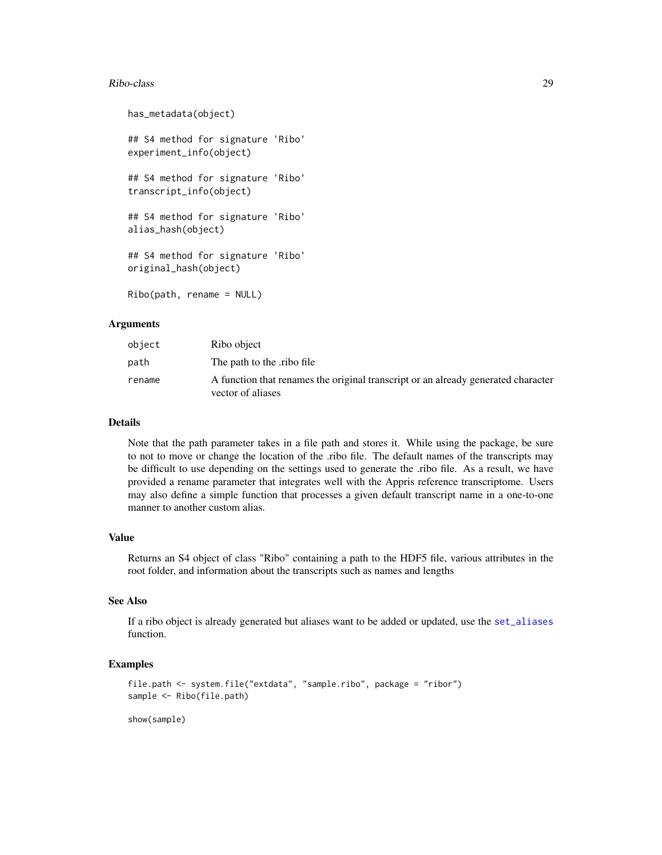#### <span id="page-28-0"></span>Ribo-class 29

```
has_metadata(object)
## S4 method for signature 'Ribo'
experiment_info(object)
## S4 method for signature 'Ribo'
transcript_info(object)
## S4 method for signature 'Ribo'
alias_hash(object)
## S4 method for signature 'Ribo'
original_hash(object)
Ribo(path, rename = NULL)
```
# Arguments

| object | Ribo object                                                                                            |
|--------|--------------------------------------------------------------------------------------------------------|
| path   | The path to the ribo file                                                                              |
| rename | A function that renames the original transcript or an already generated character<br>vector of aliases |

# Details

Note that the path parameter takes in a file path and stores it. While using the package, be sure to not to move or change the location of the .ribo file. The default names of the transcripts may be difficult to use depending on the settings used to generate the .ribo file. As a result, we have provided a rename parameter that integrates well with the Appris reference transcriptome. Users may also define a simple function that processes a given default transcript name in a one-to-one manner to another custom alias.

# Value

Returns an S4 object of class "Ribo" containing a path to the HDF5 file, various attributes in the root folder, and information about the transcripts such as names and lengths

# See Also

If a ribo object is already generated but aliases want to be added or updated, use the [set\\_aliases](#page-30-1) function.

# Examples

```
file.path <- system.file("extdata", "sample.ribo", package = "ribor")
sample <- Ribo(file.path)
```
show(sample)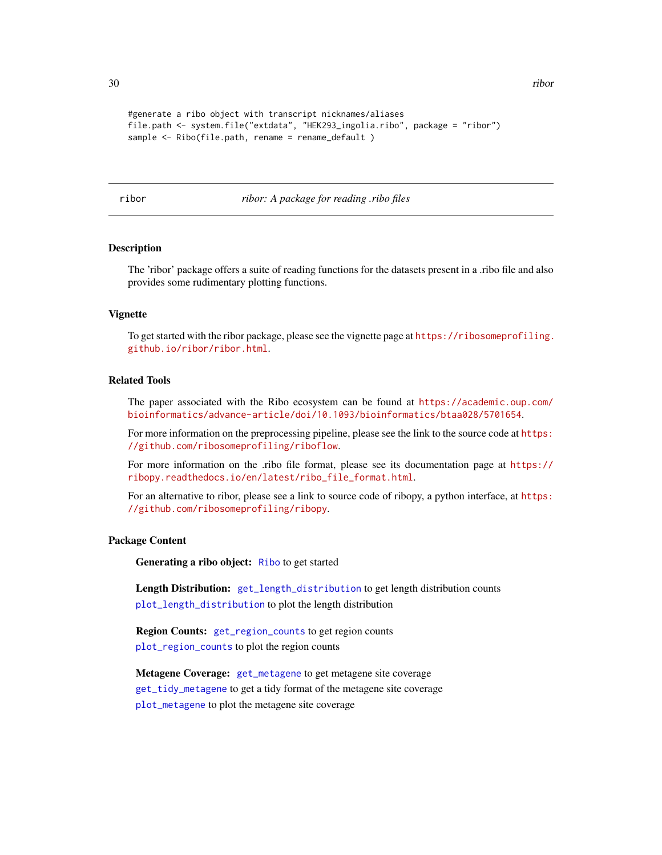```
#generate a ribo object with transcript nicknames/aliases
file.path <- system.file("extdata", "HEK293_ingolia.ribo", package = "ribor")
sample <- Ribo(file.path, rename = rename_default)
```
ribor *ribor: A package for reading .ribo files*

# **Description**

The 'ribor' package offers a suite of reading functions for the datasets present in a .ribo file and also provides some rudimentary plotting functions.

# Vignette

To get started with the ribor package, please see the vignette page at [https://ribosomeprofiling.](https://ribosomeprofiling.github.io/ribor/ribor.html) [github.io/ribor/ribor.html](https://ribosomeprofiling.github.io/ribor/ribor.html).

# Related Tools

The paper associated with the Ribo ecosystem can be found at [https://academic.oup.com/](https://academic.oup.com/bioinformatics/advance-article/doi/10.1093/bioinformatics/btaa028/5701654) [bioinformatics/advance-article/doi/10.1093/bioinformatics/btaa028/5701654](https://academic.oup.com/bioinformatics/advance-article/doi/10.1093/bioinformatics/btaa028/5701654).

For more information on the preprocessing pipeline, please see the link to the source code at [https:](https://github.com/ribosomeprofiling/riboflow) [//github.com/ribosomeprofiling/riboflow](https://github.com/ribosomeprofiling/riboflow).

For more information on the .ribo file format, please see its documentation page at [https://](https://ribopy.readthedocs.io/en/latest/ribo_file_format.html) [ribopy.readthedocs.io/en/latest/ribo\\_file\\_format.html](https://ribopy.readthedocs.io/en/latest/ribo_file_format.html).

For an alternative to ribor, please see a link to source code of ribopy, a python interface, at [https:](https://github.com/ribosomeprofiling/ribopy) [//github.com/ribosomeprofiling/ribopy](https://github.com/ribosomeprofiling/ribopy).

# Package Content

Generating a ribo object: [Ribo](#page-27-1) to get started

Length Distribution: [get\\_length\\_distribution](#page-6-1) to get length distribution counts [plot\\_length\\_distribution](#page-20-1) to plot the length distribution

Region Counts: [get\\_region\\_counts](#page-14-1) to get region counts [plot\\_region\\_counts](#page-23-1) to plot the region counts

Metagene Coverage: [get\\_metagene](#page-9-1) to get metagene site coverage [get\\_tidy\\_metagene](#page-18-1) to get a tidy format of the metagene site coverage [plot\\_metagene](#page-22-1) to plot the metagene site coverage

<span id="page-29-0"></span>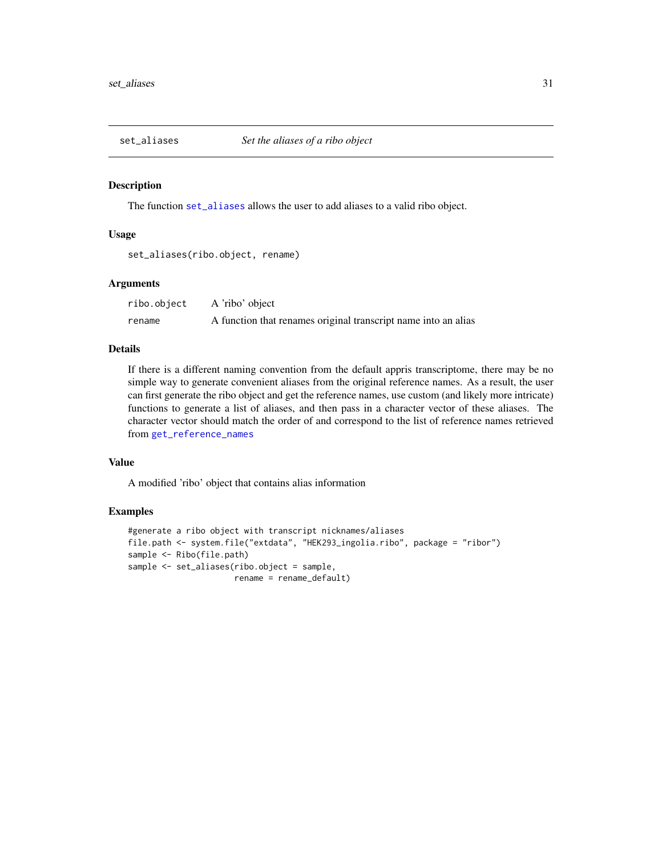<span id="page-30-1"></span><span id="page-30-0"></span>

#### Description

The function [set\\_aliases](#page-30-1) allows the user to add aliases to a valid ribo object.

#### Usage

set\_aliases(ribo.object, rename)

# Arguments

ribo.object A 'ribo' object rename A function that renames original transcript name into an alias

# Details

If there is a different naming convention from the default appris transcriptome, there may be no simple way to generate convenient aliases from the original reference names. As a result, the user can first generate the ribo object and get the reference names, use custom (and likely more intricate) functions to generate a list of aliases, and then pass in a character vector of these aliases. The character vector should match the order of and correspond to the list of reference names retrieved from [get\\_reference\\_names](#page-12-1)

# Value

A modified 'ribo' object that contains alias information

```
#generate a ribo object with transcript nicknames/aliases
file.path <- system.file("extdata", "HEK293_ingolia.ribo", package = "ribor")
sample <- Ribo(file.path)
sample <- set_aliases(ribo.object = sample,
                     rename = rename_default)
```